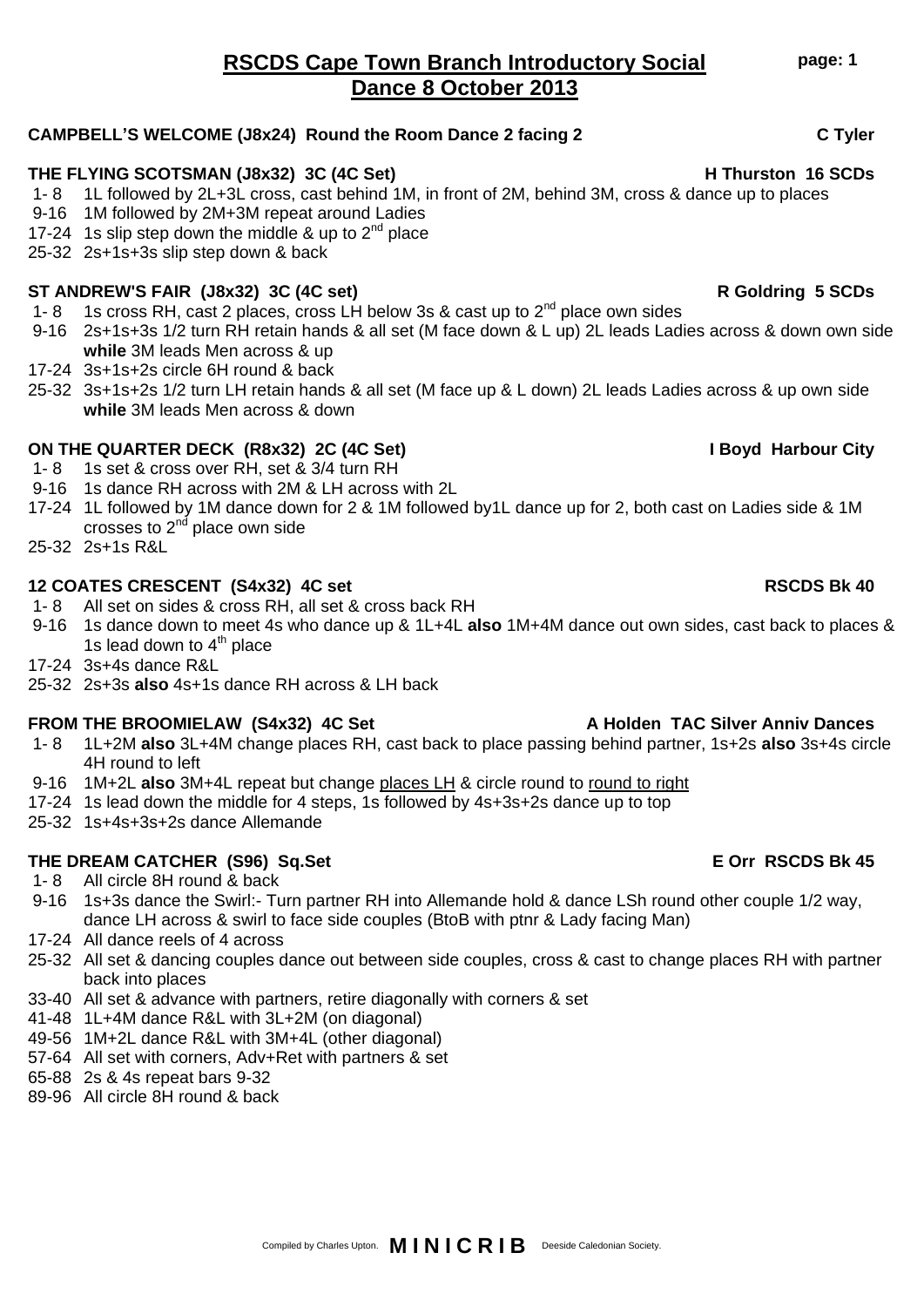## **RSCDS Cape Town Branch Introductory Social Dance 8 October 2013**

### **CAMPBELL'S WELCOME (J8x24) Round the Room Dance 2 facing 2 C Tyler**

### **THE FLYING SCOTSMAN (J8x32) 3C (4C Set) H Thurston 16 SCDs**

- 1- 8 1L followed by 2L+3L cross, cast behind 1M, in front of 2M, behind 3M, cross & dance up to places
- 9-16 1M followed by 2M+3M repeat around Ladies
- 17-24 1s slip step down the middle & up to  $2^{nd}$  place
- 25-32 2s+1s+3s slip step down & back

### **ST ANDREW'S FAIR (J8x32) 3C (4C set) R Goldring 5 SCDs**

- 1- 8 1s cross RH, cast 2 places, cross LH below 3s & cast up to  $2^{nd}$  place own sides
- 9-16 2s+1s+3s 1/2 turn RH retain hands & all set (M face down & L up) 2L leads Ladies across & down own side **while** 3M leads Men across & up
- 17-24 3s+1s+2s circle 6H round & back
- 25-32 3s+1s+2s 1/2 turn LH retain hands & all set (M face up & L down) 2L leads Ladies across & up own side **while** 3M leads Men across & down

## **ON THE QUARTER DECK (R8x32) 2C (4C Set) I Boyd Harbour City**

- 1- 8 1s set & cross over RH, set & 3/4 turn RH
- 9-16 1s dance RH across with 2M & LH across with 2L
- 17-24 1L followed by 1M dance down for 2 & 1M followed by1L dance up for 2, both cast on Ladies side & 1M crosses to  $2<sup>nd</sup>$  place own side
- 25-32 2s+1s R&L

### **12 COATES CRESCENT (S4x32) 4C set RSCDS Bk 40**

- 1- 8 All set on sides & cross RH, all set & cross back RH
- 9-16 1s dance down to meet 4s who dance up & 1L+4L **also** 1M+4M dance out own sides, cast back to places & 1s lead down to  $4<sup>th</sup>$  place
- 17-24 3s+4s dance R&L
- 25-32 2s+3s **also** 4s+1s dance RH across & LH back

### FROM THE BROOMIELAW (S4x32) 4C Set A Holden TAC Silver Anniv Dances

- 1- 8 1L+2M **also** 3L+4M change places RH, cast back to place passing behind partner, 1s+2s **also** 3s+4s circle 4H round to left
- 9-16 1M+2L also 3M+4L repeat but change places LH & circle round to round to right
- 17-24 1s lead down the middle for 4 steps, 1s followed by 4s+3s+2s dance up to top
- 25-32 1s+4s+3s+2s dance Allemande

## **THE DREAM CATCHER (S96) Sq.Set E Orr RSCDS Bk 45**

- 1- 8 All circle 8H round & back
- 9-16 1s+3s dance the Swirl:- Turn partner RH into Allemande hold & dance LSh round other couple 1/2 way, dance LH across & swirl to face side couples (BtoB with ptnr & Lady facing Man)
- 17-24 All dance reels of 4 across
- 25-32 All set & dancing couples dance out between side couples, cross & cast to change places RH with partner back into places
- 33-40 All set & advance with partners, retire diagonally with corners & set
- 41-48 1L+4M dance R&L with 3L+2M (on diagonal)
- 49-56 1M+2L dance R&L with 3M+4L (other diagonal)
- 57-64 All set with corners, Adv+Ret with partners & set
- 65-88 2s & 4s repeat bars 9-32
- 89-96 All circle 8H round & back

**page: 1**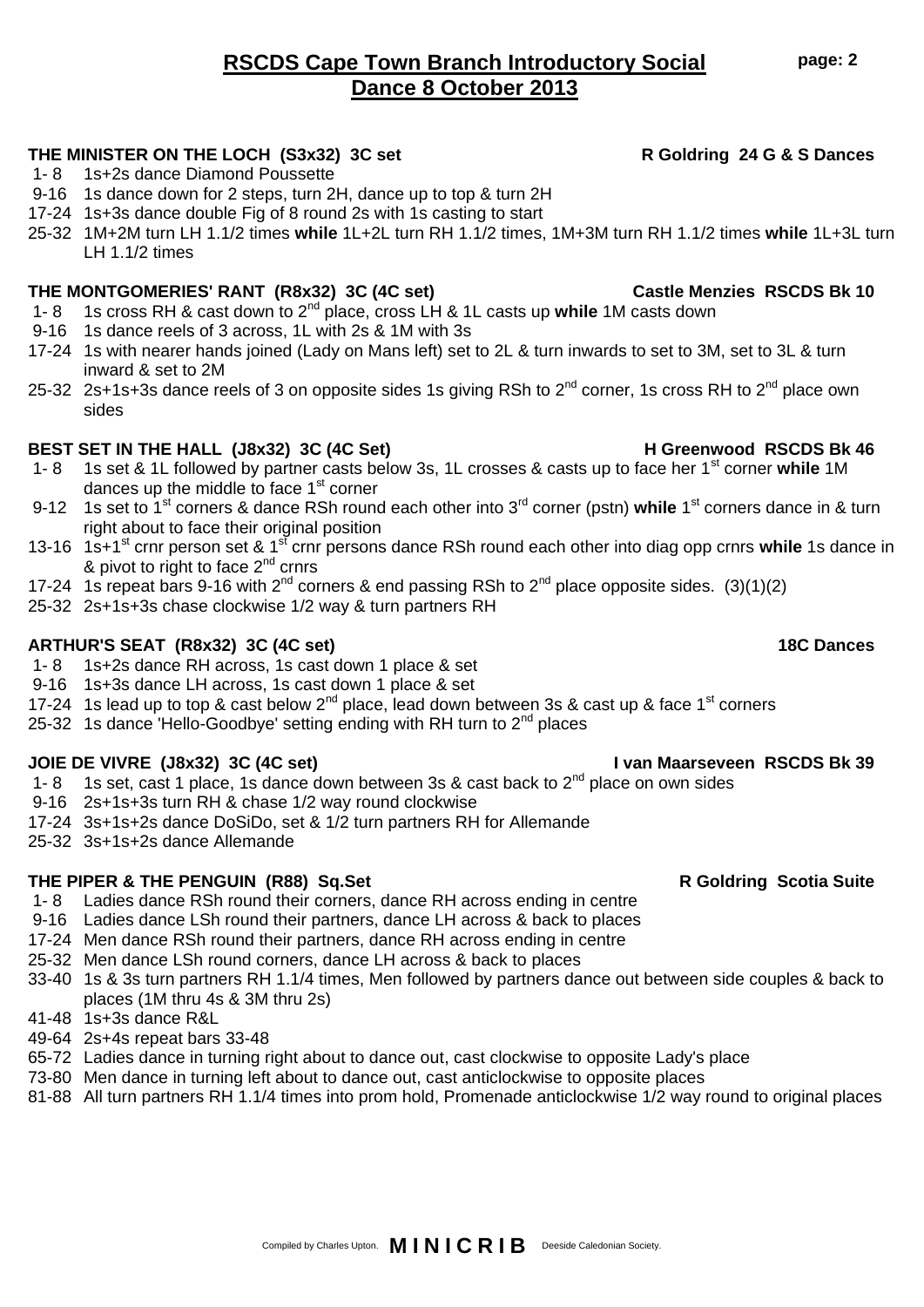# 9-16 1s dance down for 2 steps, turn 2H, dance up to top & turn 2H 17-24 1s+3s dance double Fig of 8 round 2s with 1s casting to start

### 25-32 1M+2M turn LH 1.1/2 times **while** 1L+2L turn RH 1.1/2 times, 1M+3M turn RH 1.1/2 times **while** 1L+3L turn LH 1.1/2 times

### **THE MONTGOMERIES' RANT (R8x32) 3C (4C set) Castle Menzies RSCDS Bk 10**

1- 8 1s+2s dance Diamond Poussette

- 1- 8 1s cross RH & cast down to 2nd place, cross LH & 1L casts up **while** 1M casts down
- 9-16 1s dance reels of 3 across, 1L with 2s & 1M with 3s
- 17-24 1s with nearer hands joined (Lady on Mans left) set to 2L & turn inwards to set to 3M, set to 3L & turn inward & set to 2M
- 25-32 2s+1s+3s dance reels of 3 on opposite sides 1s giving RSh to 2<sup>nd</sup> corner, 1s cross RH to 2<sup>nd</sup> place own sides

### BEST SET IN THE HALL (J8x32) 3C (4C Set) H Greenwood RSCDS Bk 46

- 1- 8 1s set & 1L followed by partner casts below 3s, 1L crosses & casts up to face her 1st corner **while** 1M dances up the middle to face  $1<sup>st</sup>$  corner
- 9-12 1s set to 1<sup>st</sup> corners & dance RSh round each other into 3<sup>rd</sup> corner (pstn) while 1<sup>st</sup> corners dance in & turn right about to face their original position
- 13-16 1s+1st crnr person set & 1st crnr persons dance RSh round each other into diag opp crnrs **while** 1s dance in & pivot to right to face  $2<sup>nd</sup>$  crnrs
- 17-24 1s repeat bars 9-16 with  $2^{nd}$  corners & end passing RSh to  $2^{nd}$  place opposite sides. (3)(1)(2)
- 25-32 2s+1s+3s chase clockwise 1/2 way & turn partners RH

### **ARTHUR'S SEAT (R8x32) 3C (4C set) 18C Dances**

- 1- 8 1s+2s dance RH across, 1s cast down 1 place & set
- 9-16 1s+3s dance LH across, 1s cast down 1 place & set
- 17-24 1s lead up to top & cast below  $2^{nd}$  place, lead down between 3s & cast up & face 1<sup>st</sup> corners
- 25-32 1s dance 'Hello-Goodbye' setting ending with RH turn to  $2^{nd}$  places

### **JOIE DE VIVRE (J8x32) 3C (4C set) I van Maarseveen RSCDS Bk 39**

- 1- 8 1s set, cast 1 place, 1s dance down between 3s & cast back to  $2^{nd}$  place on own sides
- 9-16 2s+1s+3s turn RH & chase 1/2 way round clockwise
- 17-24 3s+1s+2s dance DoSiDo, set & 1/2 turn partners RH for Allemande
- 25-32 3s+1s+2s dance Allemande

## **THE PIPER & THE PENGUIN (R88) Sq.Set R Goldring Scotia Suite**

- 1- 8 Ladies dance RSh round their corners, dance RH across ending in centre
- 9-16 Ladies dance LSh round their partners, dance LH across & back to places
- 17-24 Men dance RSh round their partners, dance RH across ending in centre
- 25-32 Men dance LSh round corners, dance LH across & back to places
- 33-40 1s & 3s turn partners RH 1.1/4 times, Men followed by partners dance out between side couples & back to places (1M thru 4s & 3M thru 2s)
- 41-48 1s+3s dance R&L
- 49-64 2s+4s repeat bars 33-48
- 65-72 Ladies dance in turning right about to dance out, cast clockwise to opposite Lady's place
- 73-80 Men dance in turning left about to dance out, cast anticlockwise to opposite places
- 81-88 All turn partners RH 1.1/4 times into prom hold, Promenade anticlockwise 1/2 way round to original places

# **RSCDS Cape Town Branch Introductory Social Dance 8 October 2013**

## **THE MINISTER ON THE LOCH (S3x32) 3C set R Goldring 24 G & S Dances**

Compiled by Charles Upton. **M I N I C R I B** Deeside Caledonian Society.

### **page: 2**